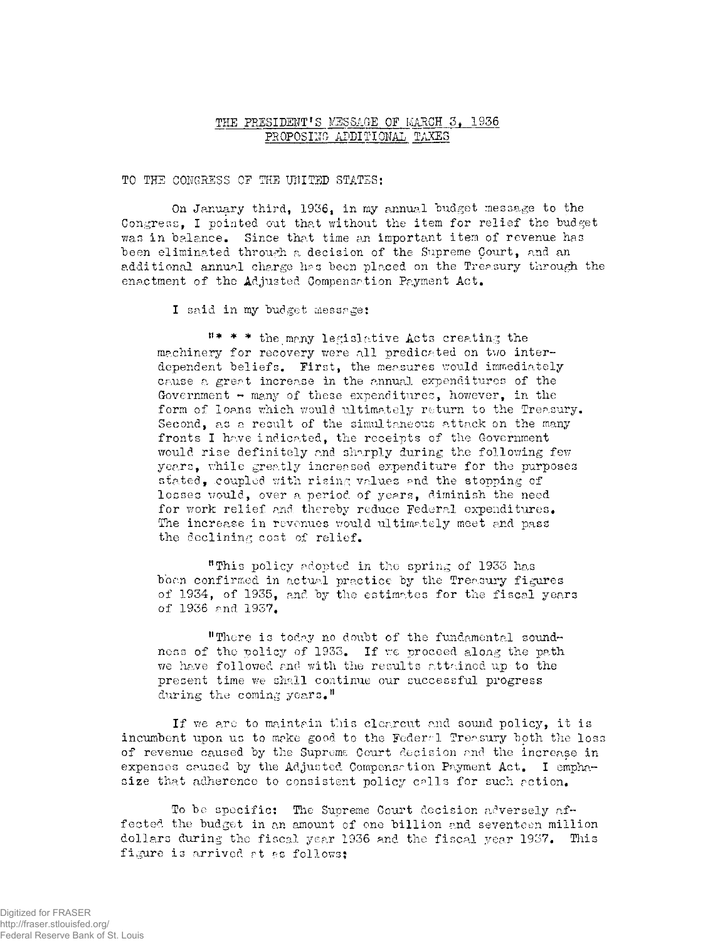## THE PRESIDENT'S MESSAGE OF MARCH 3, 1936 PROPOSING ADDITIONAL TAXES

## TO THE CONGRESS OF THE UNITED STATES:

On January third, 1936, in my annual budget message to the Congress, I pointed out that without the item for relief the budget was in balance. Since that time an important item of revenue has been eliminated through a decision of the Supreme Court, and an additional annual charge hps been placed on the Treasury through the enactment of the Adjusted Compensation Payment Act.

I said in my budget message:

 $t^*$  \* \* the many legislative Acts creating the machinery for recovery were all predicated on two interdependent beliefs. First, the measures would immediately cause a great increase in the annual expenditures of the Government  $-$  many of these expenditures, however, in the form of loans which would ultimately return to the Treasury. Second, as a result of the simultaneous attack on the many fronts I have indicated, the receipts of the Government would rise definitely and sharply during the following few years, while greatly increased expenditure for the purposes stated, coupled with rising values and the stopping of losses would, over a period of years, diminish the need for work relief and thereby reduce Federal expenditures. The increase in revenues would ultimately meet and pass the declining cost of relief.

"This policy adopted in the spring of 1933 has been confirmed in actual practice by the Treasury figures of 1934, of 1935, and by the estimates for the fiscal years of 1936 and 1937.

<sup>11</sup> There is today no doubt of the fundamental soundness of the policy of 1933. If we proceed along the path we have followed and with the results attained up-to the present time we shall continue our successful progress during the coming years.<sup>11</sup>

If we are to maintain this clearcut and sound policy, it is incumbent upon us to make good to the Federal Treasury both the loss of revenue caused by the Supreme Court decision and the increase in expenses caused by the Adjusted Compensation Payment Act. I emphasize that adherence to consistent policy calls for such action.

To be specific: The Supreme Court decision adversely affected the budget in an amount of one billion and seventeen million dollars during the fiscal year 1936 and the fiscal year 1937. This figure is arrived at as follows;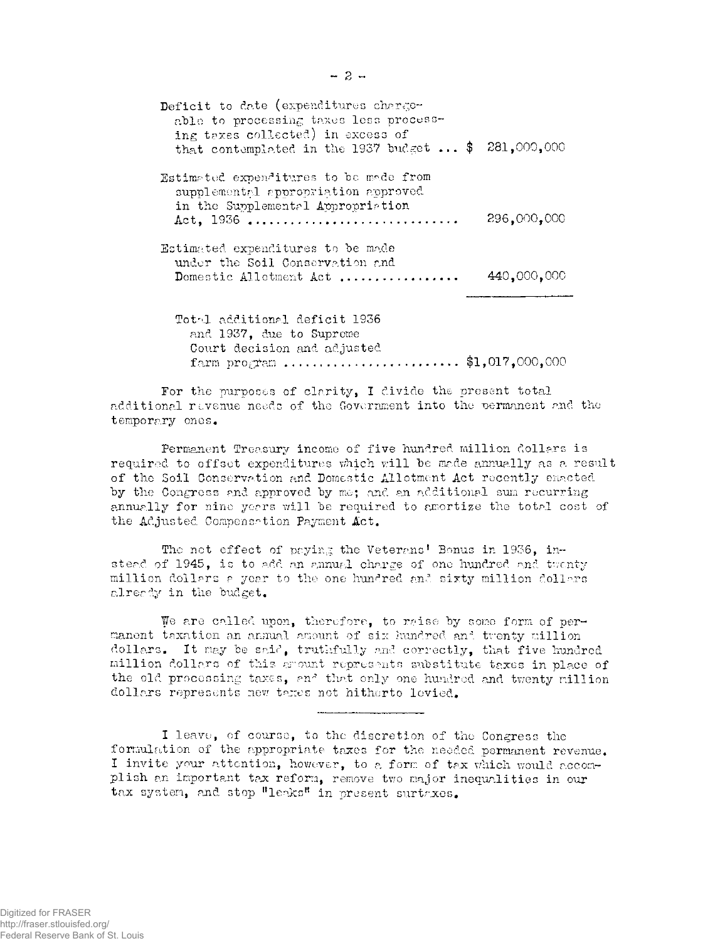| Deficit to date (expenditures chargo-<br>able to processing taxes less process-<br>ing taxes collected) in excess of            |             |
|---------------------------------------------------------------------------------------------------------------------------------|-------------|
| that contemplated in the 1937 budget $$$                                                                                        | 281,000,000 |
| Estimated expenditures to be made from<br>supplemental appropriation approved<br>in the Supplemental Appropriation<br>Act, 1936 | 296,000,000 |
| Estimated expenditures to be mode<br>under the Soil Conservation and<br>Domestic Allotment Act                                  | 440,000,000 |
| Total additional deficit 1936<br>and 1937, due to Supreme<br>Court decision and adjusted<br>farm program \$1,017,000,000        |             |

For the purposes of clarity, I divide the present total additional revenue needs of the Government into the permanent and the temporary ones.

Permanent Treasury income of five hundred million dollars is required to offset expenditures which will be made annually as a result of the Soil Conservation and Domestic Allotment Act recently enacted by the Congress and approved by me; and an additional sum recurring annually for nine years will be required to amortize the total cost of the Adjusted Compensation Payment Act.

The net effect of paying the Veterans' Bonus in 1936, instead of 1945, is to add an annual charge of one hundred and twenty million dollars p year to the one hundred and sixty million dollars already in the budget.

We are called upon, therefore, to raise by some form of  $per$ manent taxation an annual amount of six hundred, and twenty million dollars. It may be said, truthfully and correctly, that five hundred million dollars of this amount represents substitute taxes in place of the old processing taxes, and that only one hundred and twenty million dollars represents new taxes not hitherto levied.

I leave, of course, to the discretion of the Congress the formulation of the appropriate taxes for the needed permanent revenue. I invite your attention, however, to a form of tax which would accomplish an important tax reform, remove two major inequalities in our tax system, and stop "leaks" in present surtaxes.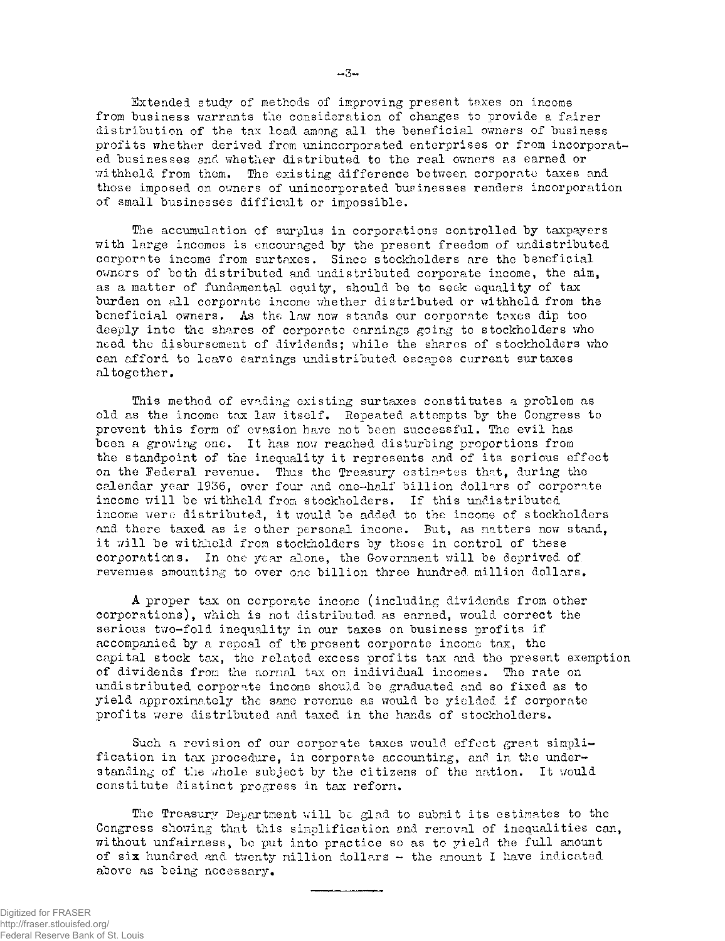Extended study of methods of improving present taxes on income from business warrants the consideration of changes to provide a fairer distribution of the tax load among all the beneficial owners of business profits whether derived from unincorporated enterprises or from incorporated businesses and whether distributed to the real owners as earned or withheld from them. The existing difference between corporate taxes and those imposed on owners of unincorporated businesses renders incorporation of small businesses difficult or impossible.

The accumulation of surplus in corporations controlled by taxpayers with large incomes is encouraged by the present freedom of undistributed corporate income from surtaxes. Since stockholders are the beneficial owners of both distributed and undistributed corporate income, the aim, as a matter of fundamental equity, should be to seek equality of tax burden on all corporate income whether distributed or withheld from the beneficial owners. As the law now stands our corporate taxes dip too deeply into the shares of corporate earnings going to stockholders who need the disbursement of dividends; while the shares of stockholders who can afford to leave earnings undistributed escapes current surtaxes altogether.

This method of evading existing surtaxes constitutes a problem as old as the income tax law itself. Repeated attempts by the Congress to prevent this form of evasion have not been successful. The evil has been a growing one. It has now reached disturbing proportions from the standpoint of the inequality it represents and of its serious effect on the Federal revenue. Thus the Treasury estimates that, during the calendar year 1936, over four and one-half billion dollars of corporate income will be withheld from stockholders. If this undistributed income were distributed, it would be added to the income of stockholders and there taxed as is other personal income. But, as natters now stand, it will be withheld from stockholders by those in control of these corporations. In one year alone, the Government will be deprived of. revenues amounting to over one billion three hundred million dollars.

A proper tax on corporate income (including dividends from other corporations), which is not distributed as earned, would correct the serious two-fold inequality in our taxes on business profits if accompanied by a repeal of the present corporate income tax, the capital stock tax, the related excess profits tax and the present exemption of dividends from the normal tax on individual incomes. The rate on undistributed corporate income should be graduated and so fixed as to yield approximately the sane revenue as would be yielded if corporate profits were distributed and taxed in the hands of stockholders.

Such a revision of our corporate taxes would effect great simplification in tax procedure, in corporate accounting, and in the understanding of the whole subject by the citizens of the nation. It would constitute distinct progress in tax reform.

The Treasury Department will be glad to submit its estimates to the Congress showing that this simplification and removal of inequalities can, without unfairness, be put into practice so as to yield the full amount of six hundred and twenty million dollars  $-$  the amount I have indicated above as being necessary.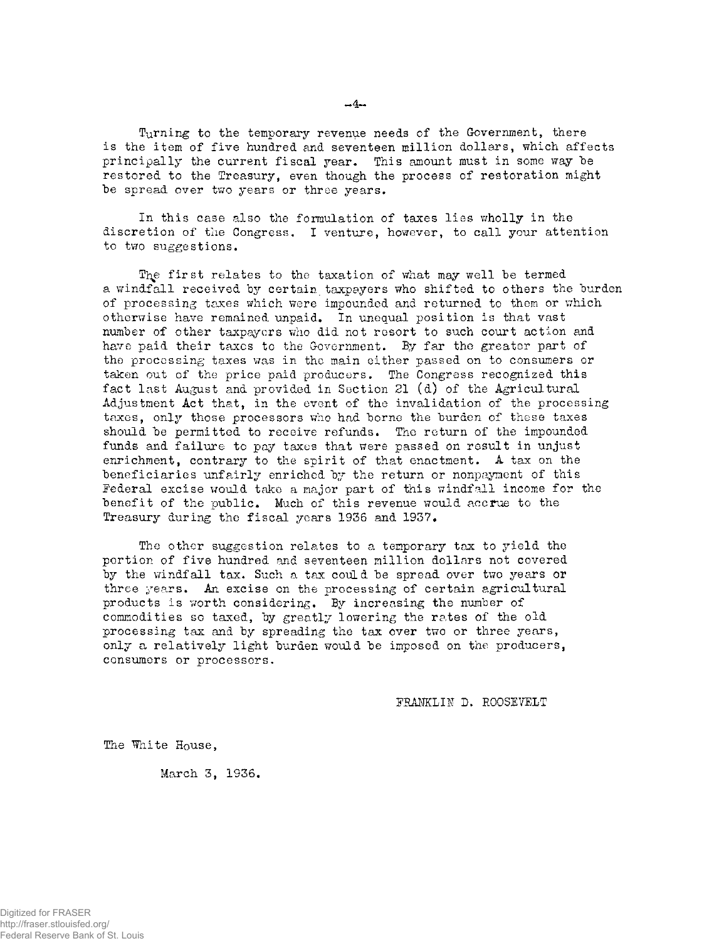Turning to the temporary revenue needs of the Government, there is the item of five hundred and seventeen million dollars, which affects principally the current fiscal year. This amount must in some way he restored to the Treasury, even though the process of restoration might be spread over two years or three years.

In this case also the formulation of taxes lies wholly in the discretion of the Congress. I venture, however, to call your attention to two suggestions.

The first relates to the taxation of what may well be termed a windfall received by certain taxpayers who shifted to others the burden of processing taxes which were impounded and returned to them or which otherwise have remained unpaid. In unequal position is that vast number of other taxpayers who did not resort to such court action and have paid their taxes to the Government. By far the greater part of the processing taxes was in the main either passed on to consumers or taken out of the price paid producers. The Congress recognized this fact last August and provided in Section *21* (d) of the Agricultural Adjustment Act that, in the event of the invalidation of the processing taxes, only those processors who had borne the burden of these taxes should be permitted to receive refunds. The return of the impounded funds and failure to pay taxes that were passed on result in unjust enrichment, contrary to the spirit of that enactment. A tax on the beneficiaries unfairly enriched by the return or nonpayment of this Federal excise would take a major part of this windfall income for the benefit of the public. Much of this revenue would accrue to the Treasury during the fiscal years 1936 and 1937.

The other suggestion relates to a temporary tax to yield the portion of five hundred and seventeen million dollars not covered by the windfall tax. Such a tax coul d be spread over two years or three years. An excise on the processing of certain agricultural products is worth considering. By increasing the number of commodities so taxed, by greatly lowering the rates of the old processing tax and by spreading the tax over two or three years, only a relatively light burden would be imposed on the producers, consumers or processors.

FRANKLIN D. ROOSEVELT

The White House,

March 3, 1936.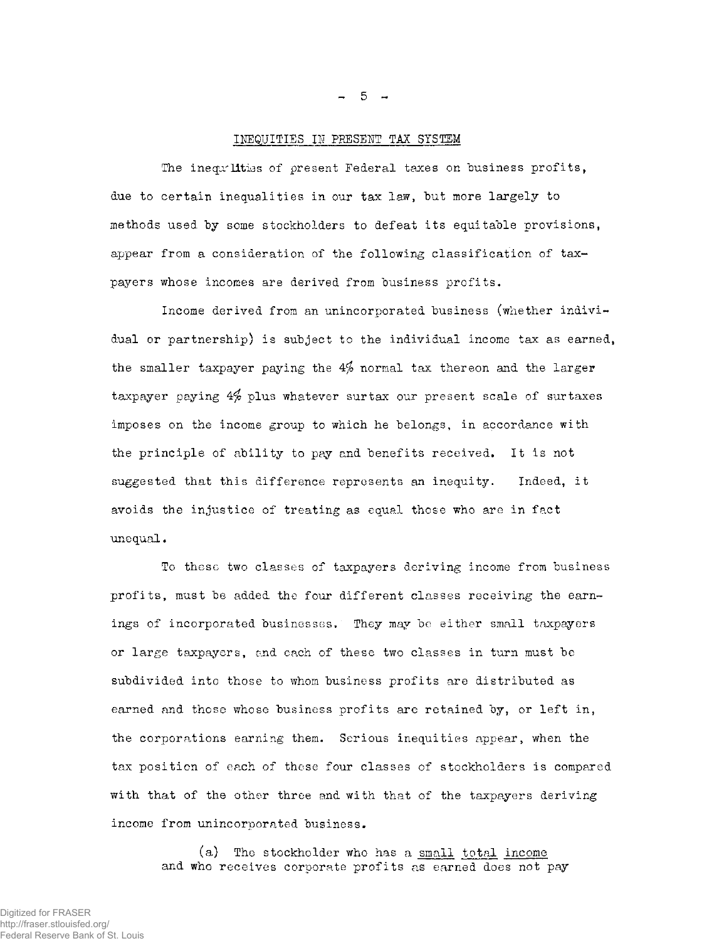## INEQUITIES IN PRESENT TAX SYSTEM

The inequalities of present Federal taxes on business profits, due to certain inequalities in our tax law, but more largely to methods used by some stockholders to defeat its equitable provisions, appear from a consideration of the following classification of taxpayers whose incomes are derived from business profits.

Income derived from an unincorporated business (whether individual or partnership) is subject to the individual income tax as earned, the smaller taxpayer paying the 4\$ normal tax thereon and the larger taxpayer paying  $4\frac{2}{3}$  plus whatever surtax our present scale of surtaxes imposes on the income group to which he belongs, in accordance with the principle of ability to pay and benefits received. It is not suggested that this difference represents an inequity. Indeed, it avoids the injustice of treating as equal those who are in fact unequal.

To these two classes of taxpayers deriving income from business profits, must be added the four different classes receiving the earnings of incorporated businesses. They may be either small taxpayers or large taxpayers, and each of these two classes in turn must be subdivided into those to whom business profits are distributed as earned and those whose business profits are retained by, or left in, the corporations earning them. Serious inequities appear, when the tax position of each of these four classes of stockholders is compared with that of the other three and with that of the taxpayers deriving income from unincorporated business.

> (a) The stockholder who has a small total income and who receives corporate profits as earned does not pay

**~ 5 -**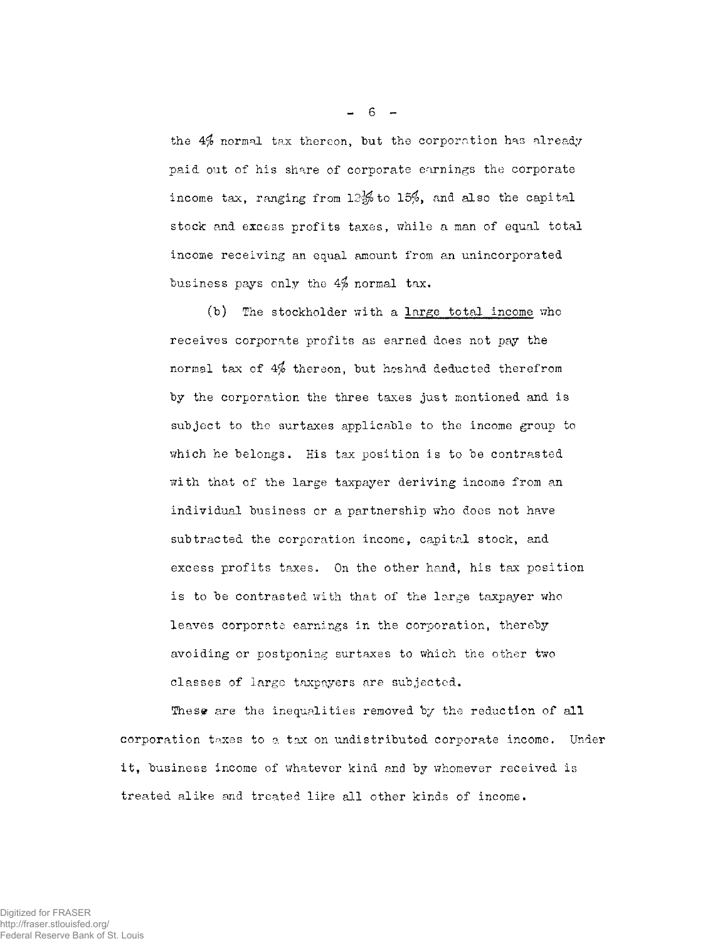the  $4\%$  normal tax thereon, but the corporation has already paid out of his share of corporate earnings the corporate income tax, ranging from  $12\frac{1}{2}$  to  $15\frac{2}{3}$ , and also the capital stock and excess profits taxes, while a man of equal total income receiving an equal amount from an unincorporated business pays only the  $4\frac{2}{9}$  normal tax.

(b) The stockholder with a large total income who receives corporate profits as earned does not pay the normal tax of  $4\frac{d}{d}$  thereon, but hoshad deducted therefrom by the corporation the three taxes just mentioned and is subject to the surtaxes applicable to the income group to which he belongs. His tax position is to be contrasted with that of the large taxpayer deriving income from an individual business or a partnership who does not have subtracted the corporation income, capital stock, and excess profits taxes. On the other hand, his tax position is to be contrasted with that of the large taxpayer who leaves corporate earnings in the corporation, thereby avoiding or postponing surtaxes to which the other two classes of large taxpayers are subjected.

These are the inequalities removed by the reduction of all corporation taxes to a tax on undistributed corporate income. Under it, business income of whatever kind and by whomever received is treated alike and treated like all other kinds of income.

 $6 -$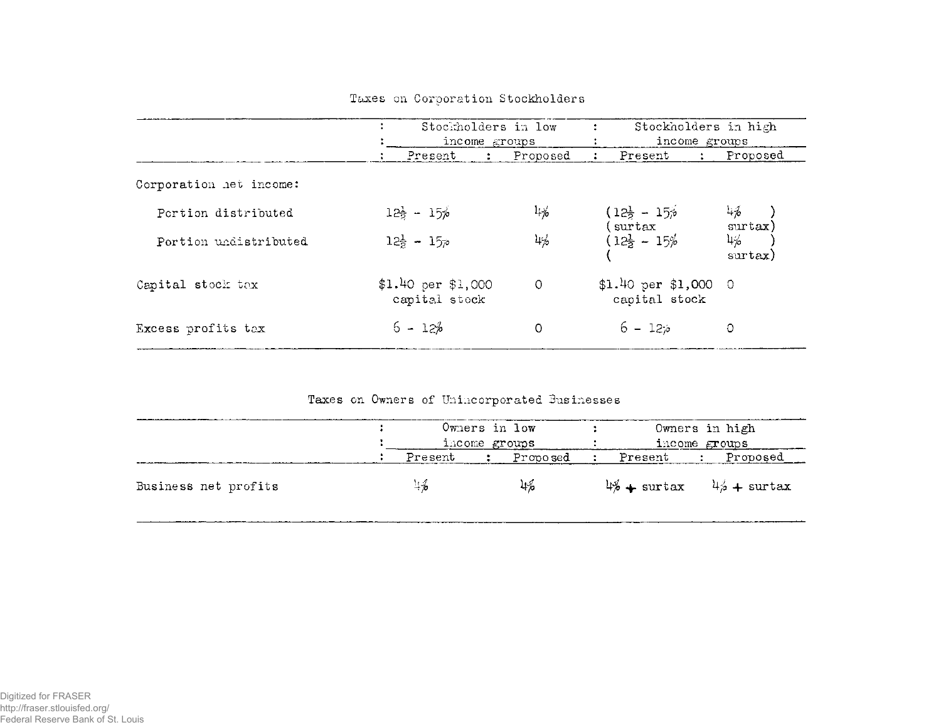|                         | Stockholders in low<br>income groups  |              |                                                           | Stockholders in high<br>income groups      |  |
|-------------------------|---------------------------------------|--------------|-----------------------------------------------------------|--------------------------------------------|--|
|                         | Present<br>$\sim 200$                 | Proposed     | Present<br>÷<br>÷                                         | Proposed                                   |  |
| Corporation het income: |                                       |              |                                                           |                                            |  |
| Pertion distributed     | $12\frac{1}{2} - 15\frac{1}{2}$       | $_{\rm 1\%}$ | $(12\frac{1}{2} - 15\%$                                   | $4\%$                                      |  |
| Portion undistributed   | $12\frac{1}{2} - 15$                  | $1\%$        | $\boldsymbol{\mathrm{surtax}}$<br>$(12\frac{1}{2} - 15\%$ | $\text{sur}\,\text{tax}$<br>4%<br>sur tax) |  |
| Capital stock tax       | $$1.40$ per $$1,000$<br>capital stock | $\circ$      | $$1.40$ per $$1,000$ 0<br>capital stock                   |                                            |  |
| Excess profits tax      | $6 - 12%$                             | O            | $6 - 125$                                                 | 0                                          |  |

## Taxes on Corporation Stockholders

Taxes on Owners of Unincorporated Businesses

|                      | Owners in low<br>income groups |  | Owners in high<br>income groups |         |                                               |
|----------------------|--------------------------------|--|---------------------------------|---------|-----------------------------------------------|
|                      | Present                        |  | : Proposed                      | Present | Proposed                                      |
| Business net profits | $-6$                           |  | $\mathbf{\mu}^{\circ\prime}$    |         | $\frac{1}{2}$ + surtax $\frac{1}{2}$ + surtax |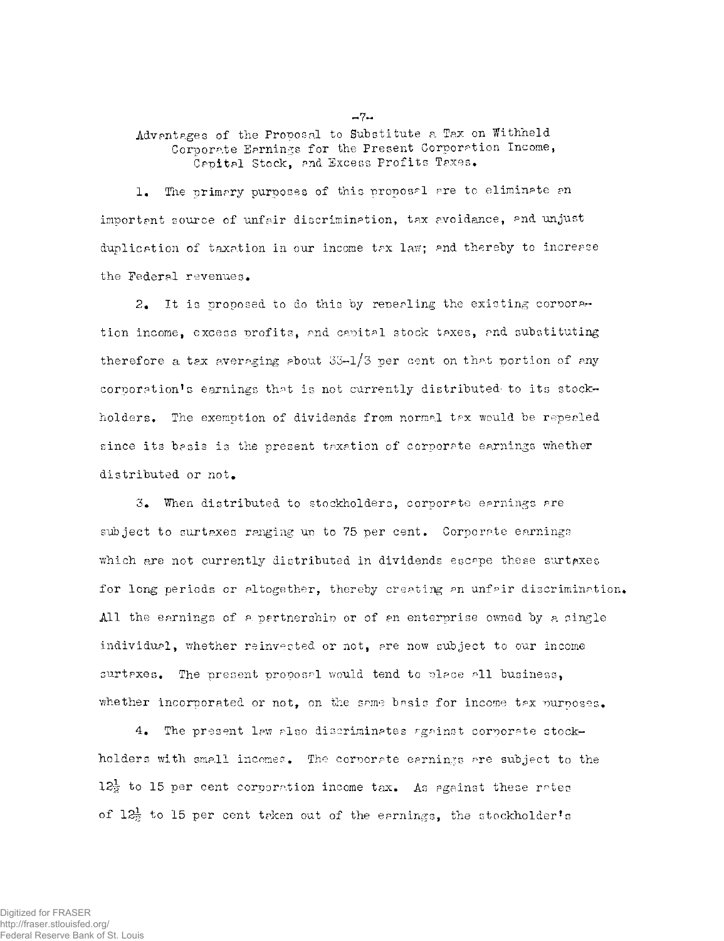Advantages of the Proposal to Substitute a Tax on Withheld Corporate Earnings for the Present Corporation Income, Capital Stock, and Excess Profits Taxes.

1. The primary purposes of this proposal are to eliminate an important source of unfair discrimination, tax avoidance, and unjust duplication of taxation in our income tax law; and thereby to increase the Federal revenues.

 $2.$  It is proposed to do this by repealing the existing corporation income, excess profits, and capital stock taxes, and substituting therefore a tax averaging about  $33-1/3$  per cent on that portion of any corporation's earnings that is not currently distributed to its stockholders. The exemption of dividends from normal tax would be repealed since its basis is the present taxation of corporate earnings whether distributed or not.

3. When distributed to stockholders, corporate earnings are subject to surtaxes ranging up to 75 per cent. Corporate earnings which are not currently distributed in dividends escape these surtaxes for long periods or altogether, thereby creating an unfair discrimination. All the earnings of a partnership or of an enterprise owned by a single individual, whether reinvested or not, are now subject to our income surtaxes. The present proposal would tend to place all business, whether incorporated or not, on the same basis for income tax purposes.

4. The present law also discriminates against corporate stockholders with small incomes. The corporate earnings are subject to the  $12\frac{1}{2}$  to 15 per cent corporation income tax. As against these rates of  $12\frac{1}{2}$  to 15 per cent taken out of the earnings, the stockholder's

 $-7-$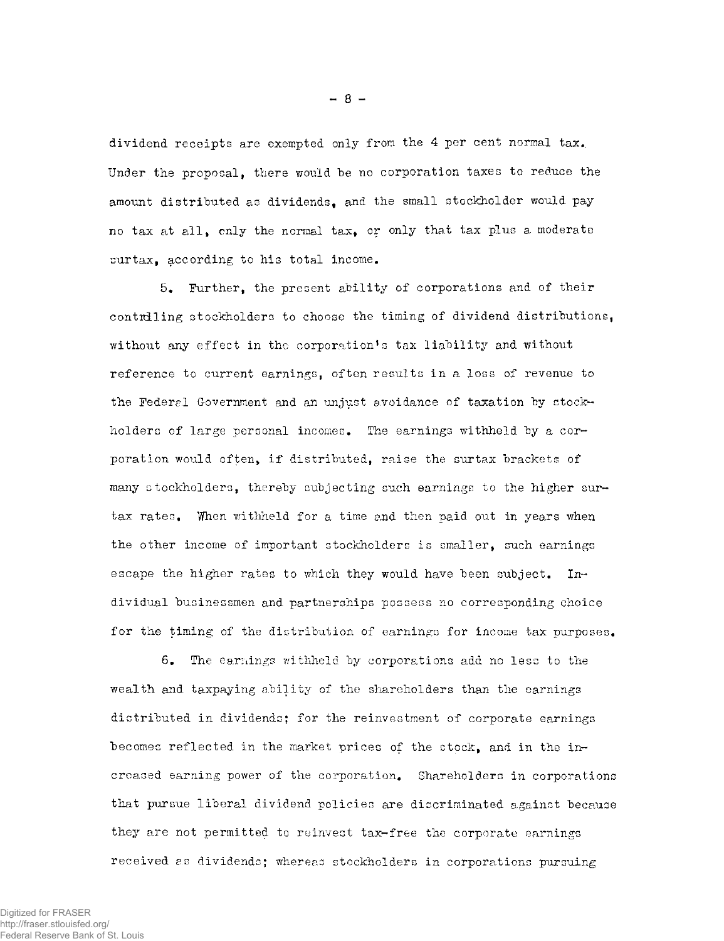dividend receipts are exempted only from the 4 per cent normal tax.. Under the proposal, there would be no corporation taxes to reduce the amount distributed as dividends, and the small stockholder would pay no tax at all, enly the normal tax, or only that tax plus a moderate surtax, according to his total income.

5. Further, the present ability of corporations and of their contriling stockholders to choose the timing of dividend distributions, without any effect in the corporation's tax liability and without reference to current earnings, often results in a loss of revenue to the Federal Government and an unjust avoidance of taxation by stockholders of large personal incomes. The earnings withheld by a corporation would often, if distributed, raise the surtax brackets of many stockholders, thereby subjecting such earnings to the higher surtax rates. When withheld for a time and then paid out in years when the other income of important stockholders is smaller, such earnings escape the higher rates to which they would have been subject. Individual businessmen and partnerships possess no corresponding choice for the timing of the distribution of earnings for income tax purposes.

6. The earnings withheld by corporations add no less to the wealth and taxpaying ability of the shareholders than the earnings distributed in dividends; for the reinvestment of corporate earnings becomes reflected in the market prices of the stock, and in the increased earning power of the corporation. Shareholders in corporations that pursue liberal dividend policies are discriminated against because they are not permitted to reinvest tax-free the corporate earnings received as dividends; whereas stockholders in corporations pursuing

**~ 8 -**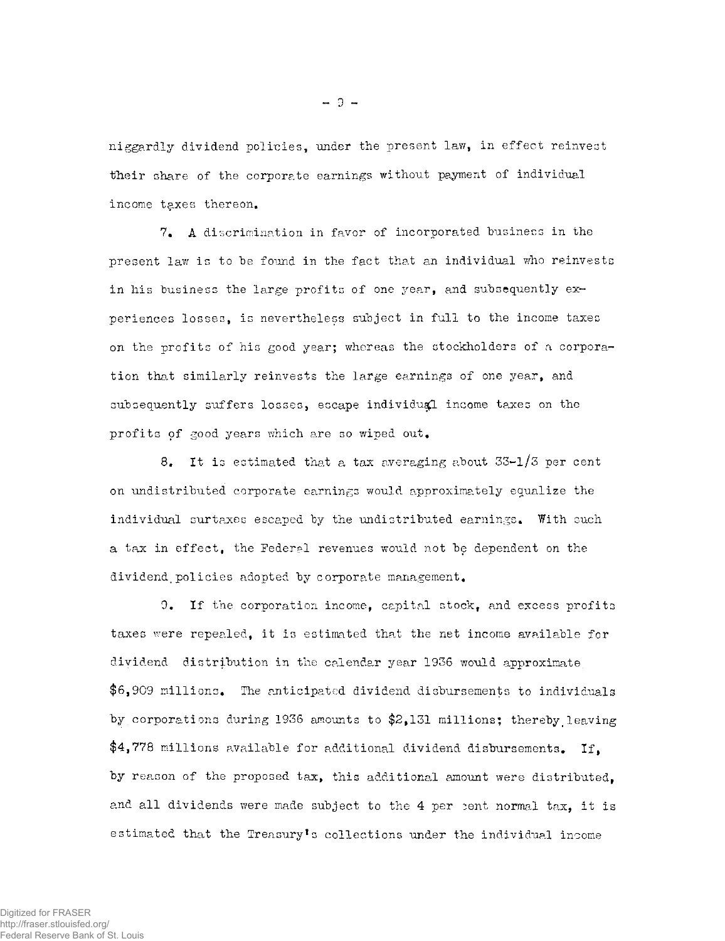niggardly dividend policies, under the present law, in effect reinvest their share of the corporate earnings without payment of individual income taxes thereon,

7. A discrimination in favor of incorporated business in the present law is to be found in the fact that an individual who reinvests in his business the large profits of one year, and subsequently experiences losses, is nevertheless subject in full to the income taxes on the profits of his good year; whereas the stockholders of a corporation that similarly reinvests the large earnings of one year, and subsequently suffers losses, escape individual income taxes on the profits of good years which are so wiped out.

8. It is estimated that a tax averaging about  $33-1/3$  per cent on undistributed corporate earnings would approximately equalize the individual surtaxes escaped by the undistributed earnings. With such a tax in effect, the Federal revenues would not be dependent on the dividend.policies adopted by corporate management,

9. If the corporation income, capital stock, and excess profits taxes were repealed, it is estimated that the net income available for dividend distribution in the calendar year 1936 would approximate \$6,909 millions. The anticipated dividend disbursements to individuals by corporations during 1936 amounts to  $2,131$  millions; thereby leaving \$4,778 millions available for additional dividend disbursements. If, by reason of the proposed tax, this additional amount were distributed, and all dividends were made subject to the 4 per tent normal tax, it is estimated that the Treasury<sup>1</sup>s collections under the individual income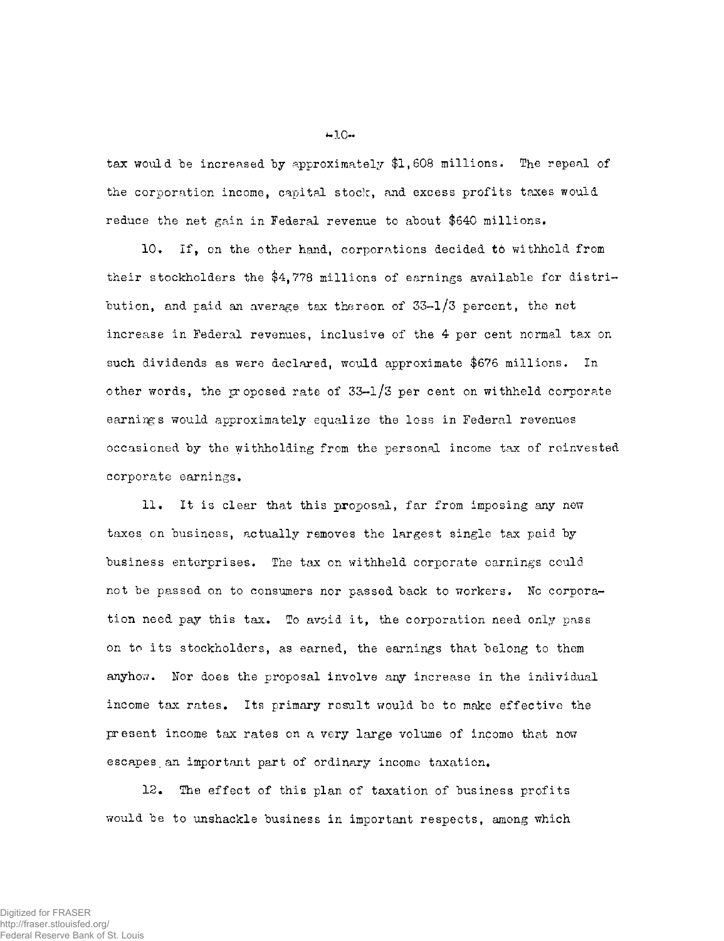tax would be increased by approximately  $$1,608$  millions. The repeal of the corporation income, capital stock, and excess profits taxes would reduce the net gain in Federal revenue to about \$640 millions.

10. If, on the other hand, corporations decided to withhold from their stockholders the \$4,778 millions of earnings available for distribution, and paid an average tax thereon of 33-1/3 percent, the net increase in Federal revenues, inclusive of the 4 per cent normal tax on such dividends as were declared, would approximate \$676 millions. In other words, the proposed rate of  $33-1/3$  per cent on withheld corporate earnirgs would approximately equalize the loss in Federal revenues occasioned by the withholding from the personal income tax of reinvested corporate earnings.

11. It is clear that this proposal, far from imposing any new taxes on business, actually removes the largest single tax paid by business enterprises. The tax on withheld corporate earnings could not be passed on to consumers nor passed back to workers. No corporation need pay this tax. To avoid it, the corporation need only pass on to its stockholders, as earned, the earnings that belong to them anyhow. Nor does the proposal involve any increase in the individual income tax rates. Its primary result would be to make effective the present income tax rates on a very large volume of income that now escapes, an important part of ordinary income taxation.

12. The effect of this plan of taxation of business profits would be to unshackle business in important respects, among which

 $-10-$